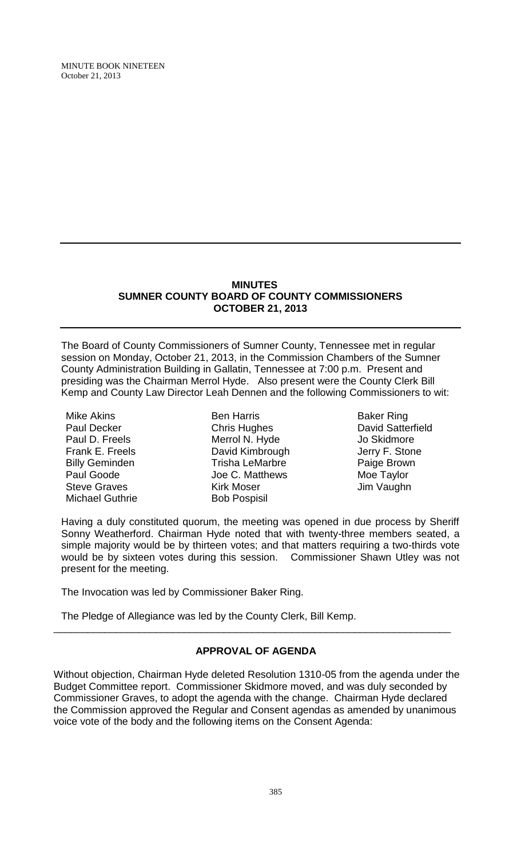#### **MINUTES SUMNER COUNTY BOARD OF COUNTY COMMISSIONERS OCTOBER 21, 2013**

The Board of County Commissioners of Sumner County, Tennessee met in regular session on Monday, October 21, 2013, in the Commission Chambers of the Sumner County Administration Building in Gallatin, Tennessee at 7:00 p.m. Present and presiding was the Chairman Merrol Hyde. Also present were the County Clerk Bill Kemp and County Law Director Leah Dennen and the following Commissioners to wit:

Mike Akins Paul Decker Paul D. Freels Frank E. Freels Billy Geminden Paul Goode Steve Graves Michael Guthrie

Ben Harris Chris Hughes Merrol N. Hyde David Kimbrough Trisha LeMarbre Joe C. Matthews Kirk Moser Bob Pospisil

Baker Ring David Satterfield Jo Skidmore Jerry F. Stone Paige Brown Moe Taylor Jim Vaughn

Having a duly constituted quorum, the meeting was opened in due process by Sheriff Sonny Weatherford. Chairman Hyde noted that with twenty-three members seated, a simple majority would be by thirteen votes; and that matters requiring a two-thirds vote would be by sixteen votes during this session. Commissioner Shawn Utley was not present for the meeting.

The Invocation was led by Commissioner Baker Ring.

The Pledge of Allegiance was led by the County Clerk, Bill Kemp.

# **APPROVAL OF AGENDA**

\_\_\_\_\_\_\_\_\_\_\_\_\_\_\_\_\_\_\_\_\_\_\_\_\_\_\_\_\_\_\_\_\_\_\_\_\_\_\_\_\_\_\_\_\_\_\_\_\_\_\_\_\_\_\_\_\_\_\_\_\_\_\_\_\_\_\_\_\_\_

Without objection, Chairman Hyde deleted Resolution 1310-05 from the agenda under the Budget Committee report. Commissioner Skidmore moved, and was duly seconded by Commissioner Graves, to adopt the agenda with the change. Chairman Hyde declared the Commission approved the Regular and Consent agendas as amended by unanimous voice vote of the body and the following items on the Consent Agenda: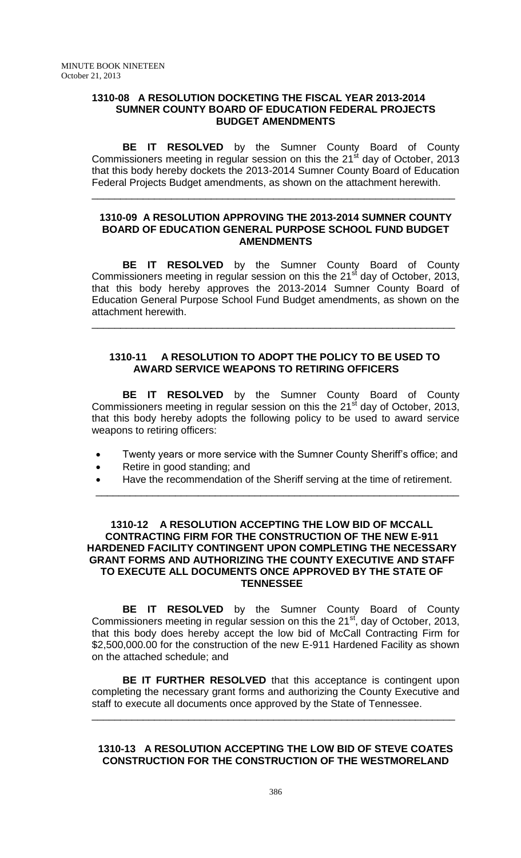### **1310-08 A RESOLUTION DOCKETING THE FISCAL YEAR 2013-2014 SUMNER COUNTY BOARD OF EDUCATION FEDERAL PROJECTS BUDGET AMENDMENTS**

**BE IT RESOLVED** by the Sumner County Board of County Commissioners meeting in regular session on this the  $21<sup>st</sup>$  day of October, 2013 that this body hereby dockets the 2013-2014 Sumner County Board of Education Federal Projects Budget amendments, as shown on the attachment herewith.

\_\_\_\_\_\_\_\_\_\_\_\_\_\_\_\_\_\_\_\_\_\_\_\_\_\_\_\_\_\_\_\_\_\_\_\_\_\_\_\_\_\_\_\_\_\_\_\_\_\_\_\_\_\_\_\_\_\_\_\_\_\_\_\_

## **1310-09 A RESOLUTION APPROVING THE 2013-2014 SUMNER COUNTY BOARD OF EDUCATION GENERAL PURPOSE SCHOOL FUND BUDGET AMENDMENTS**

**BE IT RESOLVED** by the Sumner County Board of County Commissioners meeting in regular session on this the  $21<sup>st</sup>$  day of October, 2013, that this body hereby approves the 2013-2014 Sumner County Board of Education General Purpose School Fund Budget amendments, as shown on the attachment herewith.

## **1310-11 A RESOLUTION TO ADOPT THE POLICY TO BE USED TO AWARD SERVICE WEAPONS TO RETIRING OFFICERS**

\_\_\_\_\_\_\_\_\_\_\_\_\_\_\_\_\_\_\_\_\_\_\_\_\_\_\_\_\_\_\_\_\_\_\_\_\_\_\_\_\_\_\_\_\_\_\_\_\_\_\_\_\_\_\_\_\_\_\_\_\_\_\_\_

**BE IT RESOLVED** by the Sumner County Board of County Commissioners meeting in regular session on this the 21 $^{\rm st}$  day of October, 2013, that this body hereby adopts the following policy to be used to award service weapons to retiring officers:

- Twenty years or more service with the Sumner County Sheriff's office; and
- Retire in good standing; and
- Have the recommendation of the Sheriff serving at the time of retirement. \_\_\_\_\_\_\_\_\_\_\_\_\_\_\_\_\_\_\_\_\_\_\_\_\_\_\_\_\_\_\_\_\_\_\_\_\_\_\_\_\_\_\_\_\_\_\_\_\_\_\_\_\_\_\_\_\_\_\_\_\_\_\_\_

## **1310-12 A RESOLUTION ACCEPTING THE LOW BID OF MCCALL CONTRACTING FIRM FOR THE CONSTRUCTION OF THE NEW E-911 HARDENED FACILITY CONTINGENT UPON COMPLETING THE NECESSARY GRANT FORMS AND AUTHORIZING THE COUNTY EXECUTIVE AND STAFF TO EXECUTE ALL DOCUMENTS ONCE APPROVED BY THE STATE OF TENNESSEE**

**BE IT RESOLVED** by the Sumner County Board of County Commissioners meeting in regular session on this the 21<sup>st</sup>, day of October, 2013, that this body does hereby accept the low bid of McCall Contracting Firm for \$2,500,000.00 for the construction of the new E-911 Hardened Facility as shown on the attached schedule; and

**BE IT FURTHER RESOLVED** that this acceptance is contingent upon completing the necessary grant forms and authorizing the County Executive and staff to execute all documents once approved by the State of Tennessee.

\_\_\_\_\_\_\_\_\_\_\_\_\_\_\_\_\_\_\_\_\_\_\_\_\_\_\_\_\_\_\_\_\_\_\_\_\_\_\_\_\_\_\_\_\_\_\_\_\_\_\_\_\_\_\_\_\_\_\_\_\_\_\_\_

## **1310-13 A RESOLUTION ACCEPTING THE LOW BID OF STEVE COATES CONSTRUCTION FOR THE CONSTRUCTION OF THE WESTMORELAND**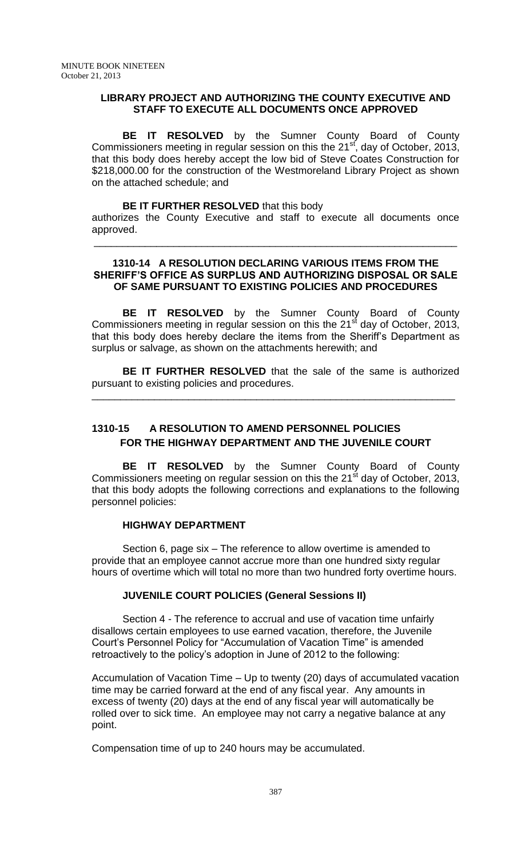### **LIBRARY PROJECT AND AUTHORIZING THE COUNTY EXECUTIVE AND STAFF TO EXECUTE ALL DOCUMENTS ONCE APPROVED**

**BE IT RESOLVED** by the Sumner County Board of County Commissioners meeting in regular session on this the  $21<sup>st</sup>$ , day of October, 2013, that this body does hereby accept the low bid of Steve Coates Construction for \$218,000.00 for the construction of the Westmoreland Library Project as shown on the attached schedule; and

#### **BE IT FURTHER RESOLVED** that this body

authorizes the County Executive and staff to execute all documents once approved.

\_\_\_\_\_\_\_\_\_\_\_\_\_\_\_\_\_\_\_\_\_\_\_\_\_\_\_\_\_\_\_\_\_\_\_\_\_\_\_\_\_\_\_\_\_\_\_\_\_\_\_\_\_\_\_\_\_\_\_\_\_\_\_\_

## **1310-14 A RESOLUTION DECLARING VARIOUS ITEMS FROM THE SHERIFF'S OFFICE AS SURPLUS AND AUTHORIZING DISPOSAL OR SALE OF SAME PURSUANT TO EXISTING POLICIES AND PROCEDURES**

**BE IT RESOLVED** by the Sumner County Board of County Commissioners meeting in regular session on this the  $21<sup>st</sup>$  day of October, 2013, that this body does hereby declare the items from the Sheriff's Department as surplus or salvage, as shown on the attachments herewith; and

**BE IT FURTHER RESOLVED** that the sale of the same is authorized pursuant to existing policies and procedures.

\_\_\_\_\_\_\_\_\_\_\_\_\_\_\_\_\_\_\_\_\_\_\_\_\_\_\_\_\_\_\_\_\_\_\_\_\_\_\_\_\_\_\_\_\_\_\_\_\_\_\_\_\_\_\_\_\_\_\_\_\_\_\_\_

# **1310-15 A RESOLUTION TO AMEND PERSONNEL POLICIES FOR THE HIGHWAY DEPARTMENT AND THE JUVENILE COURT**

**BE IT RESOLVED** by the Sumner County Board of County Commissioners meeting on regular session on this the  $21<sup>st</sup>$  day of October, 2013, that this body adopts the following corrections and explanations to the following personnel policies:

### **HIGHWAY DEPARTMENT**

Section 6, page six – The reference to allow overtime is amended to provide that an employee cannot accrue more than one hundred sixty regular hours of overtime which will total no more than two hundred forty overtime hours.

### **JUVENILE COURT POLICIES (General Sessions II)**

Section 4 - The reference to accrual and use of vacation time unfairly disallows certain employees to use earned vacation, therefore, the Juvenile Court's Personnel Policy for "Accumulation of Vacation Time" is amended retroactively to the policy's adoption in June of 2012 to the following:

Accumulation of Vacation Time – Up to twenty (20) days of accumulated vacation time may be carried forward at the end of any fiscal year. Any amounts in excess of twenty (20) days at the end of any fiscal year will automatically be rolled over to sick time. An employee may not carry a negative balance at any point.

Compensation time of up to 240 hours may be accumulated.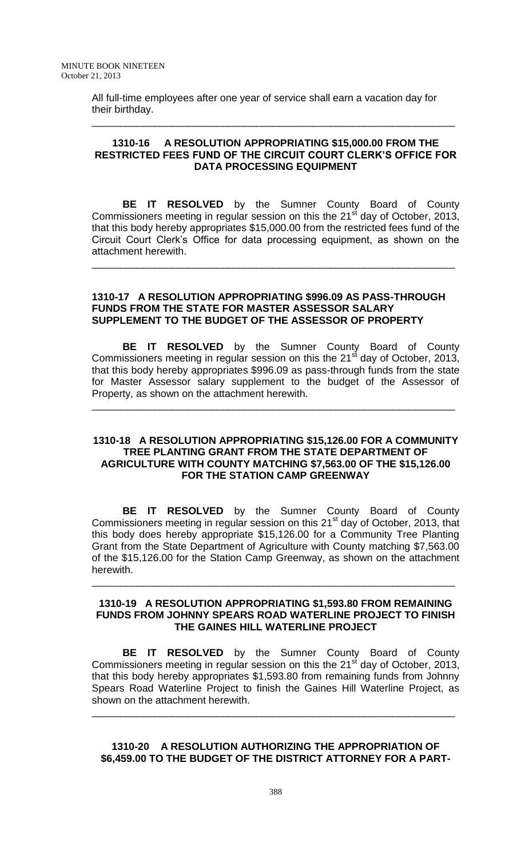All full-time employees after one year of service shall earn a vacation day for their birthday.

### **1310-16 A RESOLUTION APPROPRIATING \$15,000.00 FROM THE RESTRICTED FEES FUND OF THE CIRCUIT COURT CLERK'S OFFICE FOR DATA PROCESSING EQUIPMENT**

\_\_\_\_\_\_\_\_\_\_\_\_\_\_\_\_\_\_\_\_\_\_\_\_\_\_\_\_\_\_\_\_\_\_\_\_\_\_\_\_\_\_\_\_\_\_\_\_\_\_\_\_\_\_\_\_\_\_\_\_\_\_\_\_

**BE IT RESOLVED** by the Sumner County Board of County Commissioners meeting in regular session on this the  $21<sup>st</sup>$  day of October, 2013, that this body hereby appropriates \$15,000.00 from the restricted fees fund of the Circuit Court Clerk's Office for data processing equipment, as shown on the attachment herewith.

\_\_\_\_\_\_\_\_\_\_\_\_\_\_\_\_\_\_\_\_\_\_\_\_\_\_\_\_\_\_\_\_\_\_\_\_\_\_\_\_\_\_\_\_\_\_\_\_\_\_\_\_\_\_\_\_\_\_\_\_\_\_\_\_

### **1310-17 A RESOLUTION APPROPRIATING \$996.09 AS PASS-THROUGH FUNDS FROM THE STATE FOR MASTER ASSESSOR SALARY SUPPLEMENT TO THE BUDGET OF THE ASSESSOR OF PROPERTY**

**BE IT RESOLVED** by the Sumner County Board of County Commissioners meeting in regular session on this the  $21<sup>st</sup>$  day of October, 2013, that this body hereby appropriates \$996.09 as pass-through funds from the state for Master Assessor salary supplement to the budget of the Assessor of Property, as shown on the attachment herewith.

\_\_\_\_\_\_\_\_\_\_\_\_\_\_\_\_\_\_\_\_\_\_\_\_\_\_\_\_\_\_\_\_\_\_\_\_\_\_\_\_\_\_\_\_\_\_\_\_\_\_\_\_\_\_\_\_\_\_\_\_\_\_\_\_

### **1310-18 A RESOLUTION APPROPRIATING \$15,126.00 FOR A COMMUNITY TREE PLANTING GRANT FROM THE STATE DEPARTMENT OF AGRICULTURE WITH COUNTY MATCHING \$7,563.00 OF THE \$15,126.00 FOR THE STATION CAMP GREENWAY**

**BE IT RESOLVED** by the Sumner County Board of County Commissioners meeting in regular session on this  $21<sup>st</sup>$  day of October, 2013, that this body does hereby appropriate \$15,126.00 for a Community Tree Planting Grant from the State Department of Agriculture with County matching \$7,563.00 of the \$15,126.00 for the Station Camp Greenway, as shown on the attachment herewith.

### **1310-19 A RESOLUTION APPROPRIATING \$1,593.80 FROM REMAINING FUNDS FROM JOHNNY SPEARS ROAD WATERLINE PROJECT TO FINISH THE GAINES HILL WATERLINE PROJECT**

\_\_\_\_\_\_\_\_\_\_\_\_\_\_\_\_\_\_\_\_\_\_\_\_\_\_\_\_\_\_\_\_\_\_\_\_\_\_\_\_\_\_\_\_\_\_\_\_\_\_\_\_\_\_\_\_\_\_\_\_\_\_\_\_

**BE IT RESOLVED** by the Sumner County Board of County Commissioners meeting in regular session on this the  $21<sup>st</sup>$  day of October, 2013, that this body hereby appropriates \$1,593.80 from remaining funds from Johnny Spears Road Waterline Project to finish the Gaines Hill Waterline Project, as shown on the attachment herewith.

\_\_\_\_\_\_\_\_\_\_\_\_\_\_\_\_\_\_\_\_\_\_\_\_\_\_\_\_\_\_\_\_\_\_\_\_\_\_\_\_\_\_\_\_\_\_\_\_\_\_\_\_\_\_\_\_\_\_\_\_\_\_\_\_

## **1310-20 A RESOLUTION AUTHORIZING THE APPROPRIATION OF \$6,459.00 TO THE BUDGET OF THE DISTRICT ATTORNEY FOR A PART-**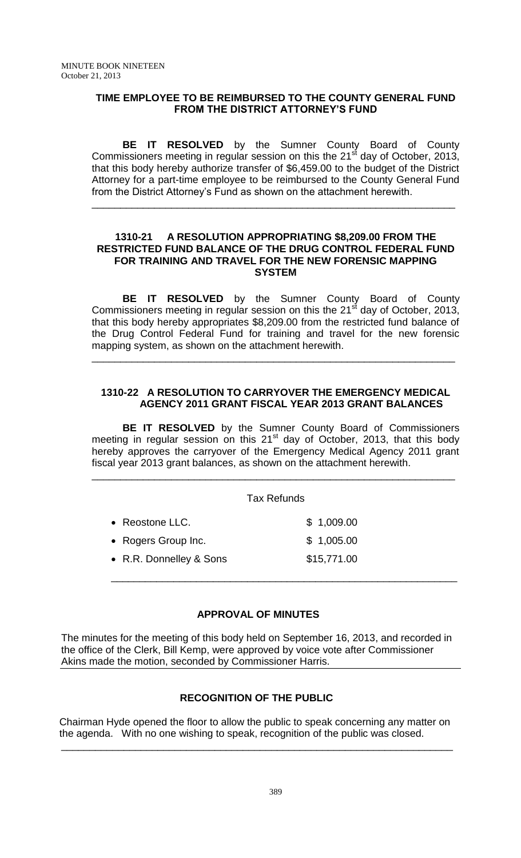## **TIME EMPLOYEE TO BE REIMBURSED TO THE COUNTY GENERAL FUND FROM THE DISTRICT ATTORNEY'S FUND**

**BE IT RESOLVED** by the Sumner County Board of County Commissioners meeting in regular session on this the  $21<sup>st</sup>$  day of October, 2013, that this body hereby authorize transfer of \$6,459.00 to the budget of the District Attorney for a part-time employee to be reimbursed to the County General Fund from the District Attorney's Fund as shown on the attachment herewith.

\_\_\_\_\_\_\_\_\_\_\_\_\_\_\_\_\_\_\_\_\_\_\_\_\_\_\_\_\_\_\_\_\_\_\_\_\_\_\_\_\_\_\_\_\_\_\_\_\_\_\_\_\_\_\_\_\_\_\_\_\_\_\_\_

### **1310-21 A RESOLUTION APPROPRIATING \$8,209.00 FROM THE RESTRICTED FUND BALANCE OF THE DRUG CONTROL FEDERAL FUND FOR TRAINING AND TRAVEL FOR THE NEW FORENSIC MAPPING SYSTEM**

**BE IT RESOLVED** by the Sumner County Board of County Commissioners meeting in regular session on this the  $21<sup>st</sup>$  day of October, 2013, that this body hereby appropriates \$8,209.00 from the restricted fund balance of the Drug Control Federal Fund for training and travel for the new forensic mapping system, as shown on the attachment herewith.

\_\_\_\_\_\_\_\_\_\_\_\_\_\_\_\_\_\_\_\_\_\_\_\_\_\_\_\_\_\_\_\_\_\_\_\_\_\_\_\_\_\_\_\_\_\_\_\_\_\_\_\_\_\_\_\_\_\_\_\_\_\_\_\_

## **1310-22 A RESOLUTION TO CARRYOVER THE EMERGENCY MEDICAL AGENCY 2011 GRANT FISCAL YEAR 2013 GRANT BALANCES**

**BE IT RESOLVED** by the Sumner County Board of Commissioners meeting in regular session on this  $21<sup>st</sup>$  day of October, 2013, that this body hereby approves the carryover of the Emergency Medical Agency 2011 grant fiscal year 2013 grant balances, as shown on the attachment herewith.

\_\_\_\_\_\_\_\_\_\_\_\_\_\_\_\_\_\_\_\_\_\_\_\_\_\_\_\_\_\_\_\_\_\_\_\_\_\_\_\_\_\_\_\_\_\_\_\_\_\_\_\_\_\_\_\_\_\_\_\_\_\_\_\_

### Tax Refunds

\_\_\_\_\_\_\_\_\_\_\_\_\_\_\_\_\_\_\_\_\_\_\_\_\_\_\_\_\_\_\_\_\_\_\_\_\_\_\_\_\_\_\_\_\_\_\_\_\_\_\_\_\_\_\_\_\_\_\_\_\_

 Reostone LLC. \$ 1,009.00 • Rogers Group Inc. \$ 1,005.00 • R.R. Donnelley & Sons \$15,771.00

# **APPROVAL OF MINUTES**

The minutes for the meeting of this body held on September 16, 2013, and recorded in the office of the Clerk, Bill Kemp, were approved by voice vote after Commissioner Akins made the motion, seconded by Commissioner Harris.

# **RECOGNITION OF THE PUBLIC**

 Chairman Hyde opened the floor to allow the public to speak concerning any matter on the agenda. With no one wishing to speak, recognition of the public was closed.

\_\_\_\_\_\_\_\_\_\_\_\_\_\_\_\_\_\_\_\_\_\_\_\_\_\_\_\_\_\_\_\_\_\_\_\_\_\_\_\_\_\_\_\_\_\_\_\_\_\_\_\_\_\_\_\_\_\_\_\_\_\_\_\_\_\_\_\_\_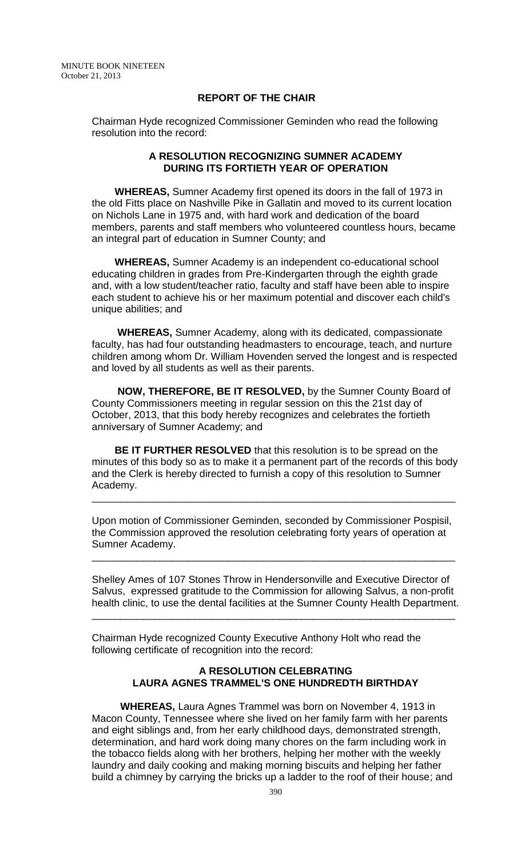### **REPORT OF THE CHAIR**

Chairman Hyde recognized Commissioner Geminden who read the following resolution into the record:

### **A RESOLUTION RECOGNIZING SUMNER ACADEMY DURING ITS FORTIETH YEAR OF OPERATION**

 **WHEREAS,** Sumner Academy first opened its doors in the fall of 1973 in the old Fitts place on Nashville Pike in Gallatin and moved to its current location on Nichols Lane in 1975 and, with hard work and dedication of the board members, parents and staff members who volunteered countless hours, became an integral part of education in Sumner County; and

 **WHEREAS,** Sumner Academy is an independent co-educational school educating children in grades from Pre-Kindergarten through the eighth grade and, with a low student/teacher ratio, faculty and staff have been able to inspire each student to achieve his or her maximum potential and discover each child's unique abilities; and

 **WHEREAS,** Sumner Academy, along with its dedicated, compassionate faculty, has had four outstanding headmasters to encourage, teach, and nurture children among whom Dr. William Hovenden served the longest and is respected and loved by all students as well as their parents.

 **NOW, THEREFORE, BE IT RESOLVED,** by the Sumner County Board of County Commissioners meeting in regular session on this the 21st day of October, 2013, that this body hereby recognizes and celebrates the fortieth anniversary of Sumner Academy; and

 **BE IT FURTHER RESOLVED** that this resolution is to be spread on the minutes of this body so as to make it a permanent part of the records of this body and the Clerk is hereby directed to furnish a copy of this resolution to Sumner Academy.

\_\_\_\_\_\_\_\_\_\_\_\_\_\_\_\_\_\_\_\_\_\_\_\_\_\_\_\_\_\_\_\_\_\_\_\_\_\_\_\_\_\_\_\_\_\_\_\_\_\_\_\_\_\_\_\_\_\_\_\_\_\_\_\_

Upon motion of Commissioner Geminden, seconded by Commissioner Pospisil, the Commission approved the resolution celebrating forty years of operation at Sumner Academy.

\_\_\_\_\_\_\_\_\_\_\_\_\_\_\_\_\_\_\_\_\_\_\_\_\_\_\_\_\_\_\_\_\_\_\_\_\_\_\_\_\_\_\_\_\_\_\_\_\_\_\_\_\_\_\_\_\_\_\_\_\_\_\_\_

Shelley Ames of 107 Stones Throw in Hendersonville and Executive Director of Salvus, expressed gratitude to the Commission for allowing Salvus, a non-profit health clinic, to use the dental facilities at the Sumner County Health Department.

\_\_\_\_\_\_\_\_\_\_\_\_\_\_\_\_\_\_\_\_\_\_\_\_\_\_\_\_\_\_\_\_\_\_\_\_\_\_\_\_\_\_\_\_\_\_\_\_\_\_\_\_\_\_\_\_\_\_\_\_\_\_\_\_

Chairman Hyde recognized County Executive Anthony Holt who read the following certificate of recognition into the record:

## **A RESOLUTION CELEBRATING LAURA AGNES TRAMMEL'S ONE HUNDREDTH BIRTHDAY**

 **WHEREAS,** Laura Agnes Trammel was born on November 4, 1913 in Macon County, Tennessee where she lived on her family farm with her parents and eight siblings and, from her early childhood days, demonstrated strength, determination, and hard work doing many chores on the farm including work in the tobacco fields along with her brothers, helping her mother with the weekly laundry and daily cooking and making morning biscuits and helping her father build a chimney by carrying the bricks up a ladder to the roof of their house; and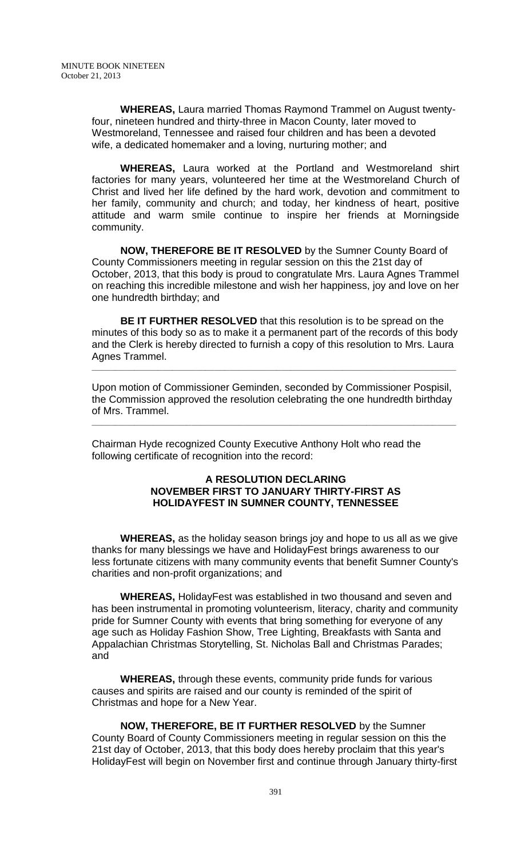**WHEREAS,** Laura married Thomas Raymond Trammel on August twentyfour, nineteen hundred and thirty-three in Macon County, later moved to Westmoreland, Tennessee and raised four children and has been a devoted wife, a dedicated homemaker and a loving, nurturing mother; and

 **WHEREAS,** Laura worked at the Portland and Westmoreland shirt factories for many years, volunteered her time at the Westmoreland Church of Christ and lived her life defined by the hard work, devotion and commitment to her family, community and church; and today, her kindness of heart, positive attitude and warm smile continue to inspire her friends at Morningside community.

 **NOW, THEREFORE BE IT RESOLVED** by the Sumner County Board of County Commissioners meeting in regular session on this the 21st day of October, 2013, that this body is proud to congratulate Mrs. Laura Agnes Trammel on reaching this incredible milestone and wish her happiness, joy and love on her one hundredth birthday; and

 **BE IT FURTHER RESOLVED** that this resolution is to be spread on the minutes of this body so as to make it a permanent part of the records of this body and the Clerk is hereby directed to furnish a copy of this resolution to Mrs. Laura Agnes Trammel.

Upon motion of Commissioner Geminden, seconded by Commissioner Pospisil, the Commission approved the resolution celebrating the one hundredth birthday of Mrs. Trammel.

**\_\_\_\_\_\_\_\_\_\_\_\_\_\_\_\_\_\_\_\_\_\_\_\_\_\_\_\_\_\_\_\_\_\_\_\_\_\_\_\_\_\_\_\_\_\_\_\_\_\_\_\_\_\_\_\_\_\_\_\_\_\_\_\_\_\_\_\_\_\_\_\_\_\_\_\_\_**

**\_\_\_\_\_\_\_\_\_\_\_\_\_\_\_\_\_\_\_\_\_\_\_\_\_\_\_\_\_\_\_\_\_\_\_\_\_\_\_\_\_\_\_\_\_\_\_\_\_\_\_\_\_\_\_\_\_\_\_\_\_\_\_\_\_\_\_\_\_\_\_\_\_\_\_\_\_**

Chairman Hyde recognized County Executive Anthony Holt who read the following certificate of recognition into the record:

## **A RESOLUTION DECLARING NOVEMBER FIRST TO JANUARY THIRTY-FIRST AS HOLIDAYFEST IN SUMNER COUNTY, TENNESSEE**

 **WHEREAS,** as the holiday season brings joy and hope to us all as we give thanks for many blessings we have and HolidayFest brings awareness to our less fortunate citizens with many community events that benefit Sumner County's charities and non-profit organizations; and

 **WHEREAS,** HolidayFest was established in two thousand and seven and has been instrumental in promoting volunteerism, literacy, charity and community pride for Sumner County with events that bring something for everyone of any age such as Holiday Fashion Show, Tree Lighting, Breakfasts with Santa and Appalachian Christmas Storytelling, St. Nicholas Ball and Christmas Parades; and

 **WHEREAS,** through these events, community pride funds for various causes and spirits are raised and our county is reminded of the spirit of Christmas and hope for a New Year.

 **NOW, THEREFORE, BE IT FURTHER RESOLVED** by the Sumner County Board of County Commissioners meeting in regular session on this the 21st day of October, 2013, that this body does hereby proclaim that this year's HolidayFest will begin on November first and continue through January thirty-first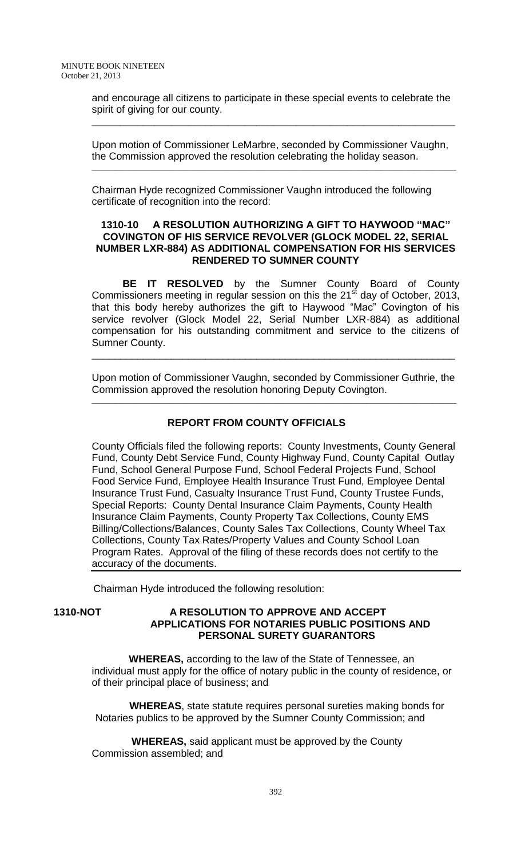and encourage all citizens to participate in these special events to celebrate the spirit of giving for our county.

**\_\_\_\_\_\_\_\_\_\_\_\_\_\_\_\_\_\_\_\_\_\_\_\_\_\_\_\_\_\_\_\_\_\_\_\_\_\_\_\_\_\_\_\_\_\_\_\_\_\_\_\_\_\_\_\_\_\_\_\_\_\_\_\_**

Upon motion of Commissioner LeMarbre, seconded by Commissioner Vaughn, the Commission approved the resolution celebrating the holiday season.

**\_\_\_\_\_\_\_\_\_\_\_\_\_\_\_\_\_\_\_\_\_\_\_\_\_\_\_\_\_\_\_\_\_\_\_\_\_\_\_\_\_\_\_\_\_\_\_\_\_\_\_\_\_\_\_\_\_\_\_\_\_\_\_\_\_\_\_\_\_\_\_\_\_\_\_\_\_**

Chairman Hyde recognized Commissioner Vaughn introduced the following certificate of recognition into the record:

#### **1310-10 A RESOLUTION AUTHORIZING A GIFT TO HAYWOOD "MAC" COVINGTON OF HIS SERVICE REVOLVER (GLOCK MODEL 22, SERIAL NUMBER LXR-884) AS ADDITIONAL COMPENSATION FOR HIS SERVICES RENDERED TO SUMNER COUNTY**

**BE IT RESOLVED** by the Sumner County Board of County Commissioners meeting in regular session on this the  $21<sup>st</sup>$  day of October, 2013, that this body hereby authorizes the gift to Haywood "Mac" Covington of his service revolver (Glock Model 22, Serial Number LXR-884) as additional compensation for his outstanding commitment and service to the citizens of Sumner County.

Upon motion of Commissioner Vaughn, seconded by Commissioner Guthrie, the Commission approved the resolution honoring Deputy Covington.

**\_\_\_\_\_\_\_\_\_\_\_\_\_\_\_\_\_\_\_\_\_\_\_\_\_\_\_\_\_\_\_\_\_\_\_\_\_\_\_\_\_\_\_\_\_\_\_\_\_\_\_\_\_\_\_\_\_\_\_\_\_\_\_\_\_\_\_\_\_\_\_\_\_\_\_\_\_**

\_\_\_\_\_\_\_\_\_\_\_\_\_\_\_\_\_\_\_\_\_\_\_\_\_\_\_\_\_\_\_\_\_\_\_\_\_\_\_\_\_\_\_\_\_\_\_\_\_\_\_\_\_\_\_\_\_\_\_\_\_\_\_\_

# **REPORT FROM COUNTY OFFICIALS**

County Officials filed the following reports: County Investments, County General Fund, County Debt Service Fund, County Highway Fund, County Capital Outlay Fund, School General Purpose Fund, School Federal Projects Fund, School Food Service Fund, Employee Health Insurance Trust Fund, Employee Dental Insurance Trust Fund, Casualty Insurance Trust Fund, County Trustee Funds, Special Reports: County Dental Insurance Claim Payments, County Health Insurance Claim Payments, County Property Tax Collections, County EMS Billing/Collections/Balances, County Sales Tax Collections, County Wheel Tax Collections, County Tax Rates/Property Values and County School Loan Program Rates. Approval of the filing of these records does not certify to the accuracy of the documents.

Chairman Hyde introduced the following resolution:

### **1310-NOT A RESOLUTION TO APPROVE AND ACCEPT APPLICATIONS FOR NOTARIES PUBLIC POSITIONS AND PERSONAL SURETY GUARANTORS**

 **WHEREAS,** according to the law of the State of Tennessee, an individual must apply for the office of notary public in the county of residence, or of their principal place of business; and

 **WHEREAS**, state statute requires personal sureties making bonds for Notaries publics to be approved by the Sumner County Commission; and

 **WHEREAS,** said applicant must be approved by the County Commission assembled; and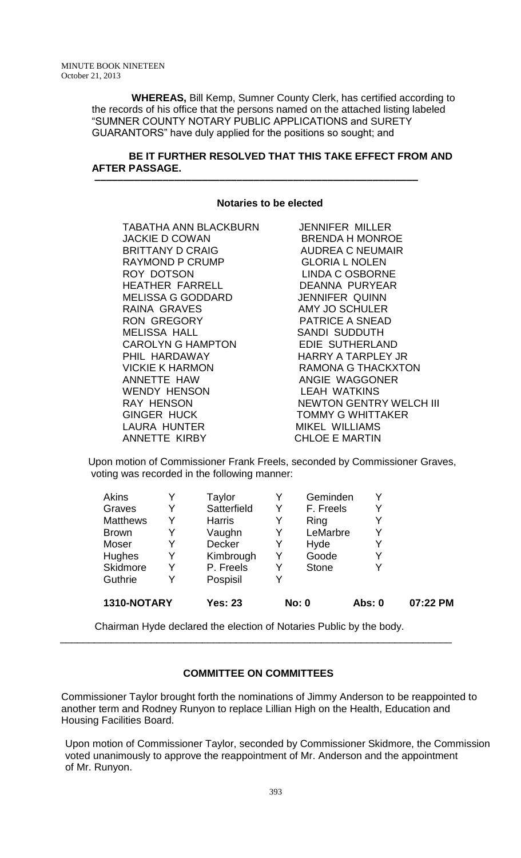**WHEREAS,** Bill Kemp, Sumner County Clerk, has certified according to the records of his office that the persons named on the attached listing labeled "SUMNER COUNTY NOTARY PUBLIC APPLICATIONS and SURETY GUARANTORS" have duly applied for the positions so sought; and

## **BE IT FURTHER RESOLVED THAT THIS TAKE EFFECT FROM AND AFTER PASSAGE.**

#### **Notaries to be elected**

 **–––––––––––––––––––––––––––––––––––––––––––––––––––––––––**

TABATHA ANN BLACKBURN JENNIFER MILLER JACKIE D COWAN BRENDA H MONROE BRITTANY D CRAIG AUDREA C NEUMAIR RAYMOND P CRUMP GLORIA L NOLEN ROY DOTSON LINDA C OSBORNE HEATHER FARRELL DEANNA PURYEAR MELISSA G GODDARD JENNIFER QUINN RAINA GRAVES AMY JO SCHULER MELISSA HALL SANDI SUDDUTH CAROLYN G HAMPTON EDIE SUTHERLAND VICKIE K HARMON RAMONA G THACKXTON ANNETTE HAW ANGIE WAGGONER WENDY HENSON LEAH WATKINS GINGER HUCK TOMMY G WHITTAKER LAURA HUNTER MIKEL WILLIAMS ANNETTE KIRBY CHLOE E MARTIN

**PATRICE A SNEAD** HARRY A TARPLEY JR RAY HENSON NEWTON GENTRY WELCH III

Upon motion of Commissioner Frank Freels, seconded by Commissioner Graves, voting was recorded in the following manner:

| 1310-NOTARY     |   | <b>Yes: 23</b> |   | No: 0        | <b>Abs: 0</b> | 07:22 PM |
|-----------------|---|----------------|---|--------------|---------------|----------|
| Guthrie         | Y | Pospisil       | V |              |               |          |
| Skidmore        | Y | P. Freels      | Y | <b>Stone</b> | Y             |          |
| Hughes          | Y | Kimbrough      | Y | Goode        | Y             |          |
| Moser           | Y | <b>Decker</b>  | Y | Hyde         | Y             |          |
| <b>Brown</b>    | Y | Vaughn         | Y | LeMarbre     | Y             |          |
| <b>Matthews</b> | Y | <b>Harris</b>  | Y | Ring         | Y             |          |
| Graves          | Y | Satterfield    | Y | F. Freels    | Y             |          |
| <b>Akins</b>    | Y | Taylor         |   | Geminden     | Y             |          |

Chairman Hyde declared the election of Notaries Public by the body.

\_\_\_\_\_\_\_\_\_\_\_\_\_\_\_\_\_\_\_\_\_\_\_\_\_\_\_\_\_\_\_\_\_\_\_\_\_\_\_\_\_\_\_\_\_\_\_\_\_\_\_\_\_\_\_\_\_\_\_\_\_\_\_\_\_\_\_\_\_

# **COMMITTEE ON COMMITTEES**

Commissioner Taylor brought forth the nominations of Jimmy Anderson to be reappointed to another term and Rodney Runyon to replace Lillian High on the Health, Education and Housing Facilities Board.

Upon motion of Commissioner Taylor, seconded by Commissioner Skidmore, the Commission voted unanimously to approve the reappointment of Mr. Anderson and the appointment of Mr. Runyon.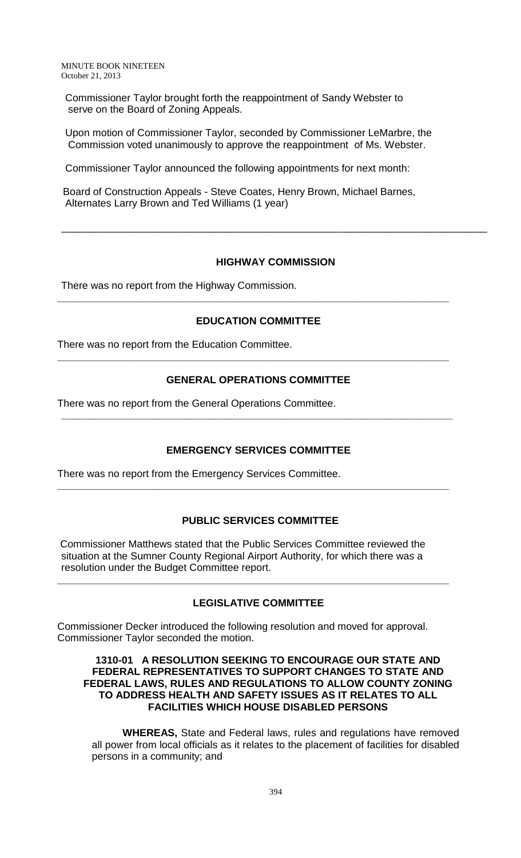Commissioner Taylor brought forth the reappointment of Sandy Webster to serve on the Board of Zoning Appeals.

Upon motion of Commissioner Taylor, seconded by Commissioner LeMarbre, the Commission voted unanimously to approve the reappointment of Ms. Webster.

Commissioner Taylor announced the following appointments for next month:

Board of Construction Appeals - Steve Coates, Henry Brown, Michael Barnes, Alternates Larry Brown and Ted Williams (1 year)

### **HIGHWAY COMMISSION**

\_\_\_\_\_\_\_\_\_\_\_\_\_\_\_\_\_\_\_\_\_\_\_\_\_\_\_\_\_\_\_\_\_\_\_\_\_\_\_\_\_\_\_\_\_\_\_\_\_\_\_\_\_\_\_\_\_\_\_\_\_\_\_\_\_\_\_\_\_\_\_\_\_\_\_

There was no report from the Highway Commission.

#### **EDUCATION COMMITTEE**

**\_\_\_\_\_\_\_\_\_\_\_\_\_\_\_\_\_\_\_\_\_\_\_\_\_\_\_\_\_\_\_\_\_\_\_\_\_\_\_\_\_\_\_\_\_\_\_\_\_\_\_\_\_\_\_\_\_\_\_\_\_\_\_\_\_\_\_\_\_**

There was no report from the Education Committee.

## **GENERAL OPERATIONS COMMITTEE**

**\_\_\_\_\_\_\_\_\_\_\_\_\_\_\_\_\_\_\_\_\_\_\_\_\_\_\_\_\_\_\_\_\_\_\_\_\_\_\_\_\_\_\_\_\_\_\_\_\_\_\_\_\_\_\_\_\_\_\_\_\_\_\_\_\_\_\_\_\_**

**\_\_\_\_\_\_\_\_\_\_\_\_\_\_\_\_\_\_\_\_\_\_\_\_\_\_\_\_\_\_\_\_\_\_\_\_\_\_\_\_\_\_\_\_\_\_\_\_\_\_\_\_\_\_\_\_\_\_\_\_\_\_\_\_\_\_\_\_\_**

There was no report from the General Operations Committee.

### **EMERGENCY SERVICES COMMITTEE**

**\_\_\_\_\_\_\_\_\_\_\_\_\_\_\_\_\_\_\_\_\_\_\_\_\_\_\_\_\_\_\_\_\_\_\_\_\_\_\_\_\_\_\_\_\_\_\_\_\_\_\_\_\_\_\_\_\_\_\_\_\_\_\_\_\_\_\_\_\_**

There was no report from the Emergency Services Committee.

### **PUBLIC SERVICES COMMITTEE**

Commissioner Matthews stated that the Public Services Committee reviewed the situation at the Sumner County Regional Airport Authority, for which there was a resolution under the Budget Committee report.

# **LEGISLATIVE COMMITTEE**

**\_\_\_\_\_\_\_\_\_\_\_\_\_\_\_\_\_\_\_\_\_\_\_\_\_\_\_\_\_\_\_\_\_\_\_\_\_\_\_\_\_\_\_\_\_\_\_\_\_\_\_\_\_\_\_\_\_\_\_\_\_\_\_\_\_\_\_\_\_**

Commissioner Decker introduced the following resolution and moved for approval. Commissioner Taylor seconded the motion.

#### **1310-01 A RESOLUTION SEEKING TO ENCOURAGE OUR STATE AND FEDERAL REPRESENTATIVES TO SUPPORT CHANGES TO STATE AND FEDERAL LAWS, RULES AND REGULATIONS TO ALLOW COUNTY ZONING TO ADDRESS HEALTH AND SAFETY ISSUES AS IT RELATES TO ALL FACILITIES WHICH HOUSE DISABLED PERSONS**

**WHEREAS,** State and Federal laws, rules and regulations have removed all power from local officials as it relates to the placement of facilities for disabled persons in a community; and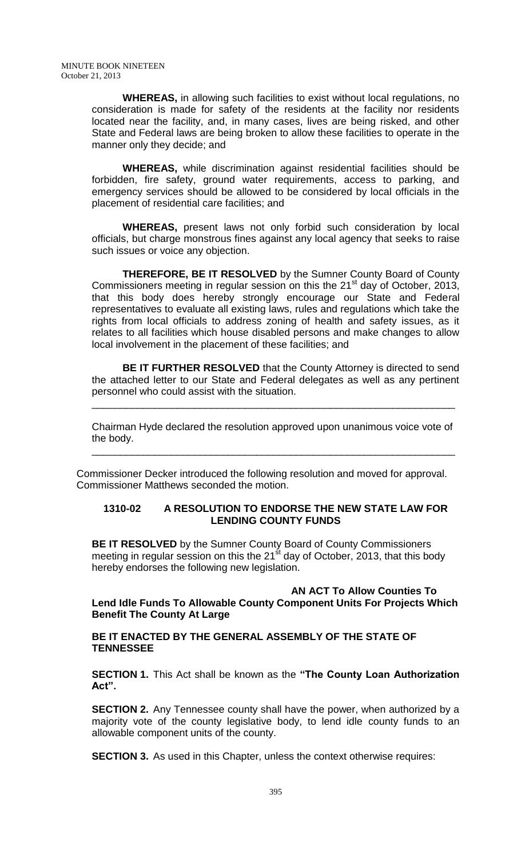**WHEREAS,** in allowing such facilities to exist without local regulations, no consideration is made for safety of the residents at the facility nor residents located near the facility, and, in many cases, lives are being risked, and other State and Federal laws are being broken to allow these facilities to operate in the manner only they decide; and

**WHEREAS,** while discrimination against residential facilities should be forbidden, fire safety, ground water requirements, access to parking, and emergency services should be allowed to be considered by local officials in the placement of residential care facilities; and

**WHEREAS,** present laws not only forbid such consideration by local officials, but charge monstrous fines against any local agency that seeks to raise such issues or voice any objection.

**THEREFORE, BE IT RESOLVED** by the Sumner County Board of County Commissioners meeting in regular session on this the 21<sup>st</sup> day of October, 2013, that this body does hereby strongly encourage our State and Federal representatives to evaluate all existing laws, rules and regulations which take the rights from local officials to address zoning of health and safety issues, as it relates to all facilities which house disabled persons and make changes to allow local involvement in the placement of these facilities; and

**BE IT FURTHER RESOLVED** that the County Attorney is directed to send the attached letter to our State and Federal delegates as well as any pertinent personnel who could assist with the situation.

Chairman Hyde declared the resolution approved upon unanimous voice vote of the body.

\_\_\_\_\_\_\_\_\_\_\_\_\_\_\_\_\_\_\_\_\_\_\_\_\_\_\_\_\_\_\_\_\_\_\_\_\_\_\_\_\_\_\_\_\_\_\_\_\_\_\_\_\_\_\_\_\_\_\_\_\_\_\_\_

\_\_\_\_\_\_\_\_\_\_\_\_\_\_\_\_\_\_\_\_\_\_\_\_\_\_\_\_\_\_\_\_\_\_\_\_\_\_\_\_\_\_\_\_\_\_\_\_\_\_\_\_\_\_\_\_\_\_\_\_\_\_\_\_

Commissioner Decker introduced the following resolution and moved for approval. Commissioner Matthews seconded the motion.

### **1310-02 A RESOLUTION TO ENDORSE THE NEW STATE LAW FOR LENDING COUNTY FUNDS**

**BE IT RESOLVED** by the Sumner County Board of County Commissioners meeting in regular session on this the  $21<sup>st</sup>$  day of October, 2013, that this body hereby endorses the following new legislation.

**AN ACT To Allow Counties To**

**Lend Idle Funds To Allowable County Component Units For Projects Which Benefit The County At Large**

**BE IT ENACTED BY THE GENERAL ASSEMBLY OF THE STATE OF TENNESSEE**

**SECTION 1.** This Act shall be known as the **"The County Loan Authorization Act".**

**SECTION 2.** Any Tennessee county shall have the power, when authorized by a majority vote of the county legislative body, to lend idle county funds to an allowable component units of the county.

**SECTION 3.** As used in this Chapter, unless the context otherwise requires: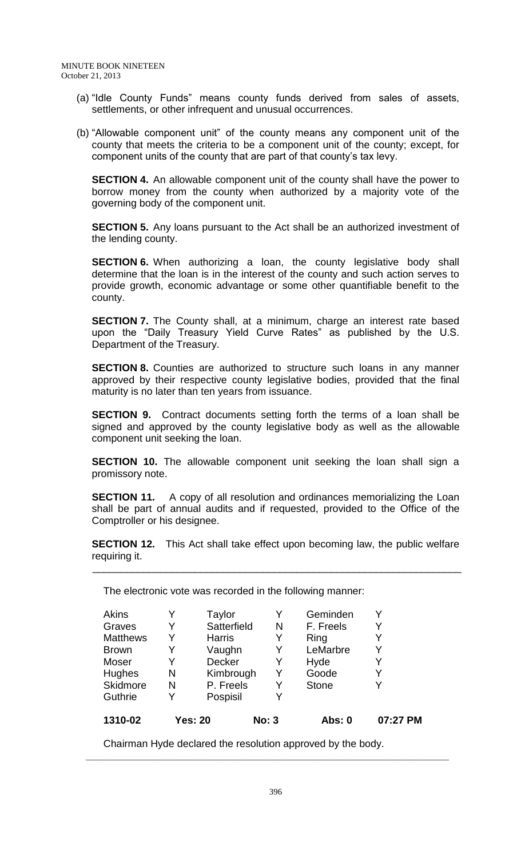- (a) "Idle County Funds" means county funds derived from sales of assets, settlements, or other infrequent and unusual occurrences.
- (b) "Allowable component unit" of the county means any component unit of the county that meets the criteria to be a component unit of the county; except, for component units of the county that are part of that county's tax levy.

**SECTION 4.** An allowable component unit of the county shall have the power to borrow money from the county when authorized by a majority vote of the governing body of the component unit.

**SECTION 5.** Any loans pursuant to the Act shall be an authorized investment of the lending county.

**SECTION 6.** When authorizing a loan, the county legislative body shall determine that the loan is in the interest of the county and such action serves to provide growth, economic advantage or some other quantifiable benefit to the county.

**SECTION 7.** The County shall, at a minimum, charge an interest rate based upon the "Daily Treasury Yield Curve Rates" as published by the U.S. Department of the Treasury.

**SECTION 8.** Counties are authorized to structure such loans in any manner approved by their respective county legislative bodies, provided that the final maturity is no later than ten years from issuance.

**SECTION 9.** Contract documents setting forth the terms of a loan shall be signed and approved by the county legislative body as well as the allowable component unit seeking the loan.

**SECTION 10.** The allowable component unit seeking the loan shall sign a promissory note.

**SECTION 11.** A copy of all resolution and ordinances memorializing the Loan shall be part of annual audits and if requested, provided to the Office of the Comptroller or his designee.

**SECTION 12.** This Act shall take effect upon becoming law, the public welfare requiring it.

\_\_\_\_\_\_\_\_\_\_\_\_\_\_\_\_\_\_\_\_\_\_\_\_\_\_\_\_\_\_\_\_\_\_\_\_\_\_\_\_\_\_\_\_\_\_\_\_\_\_\_\_\_\_\_\_\_\_\_\_\_\_\_\_\_

The electronic vote was recorded in the following manner:

| Akins           |   | Taylor         |              | Geminden     |          |
|-----------------|---|----------------|--------------|--------------|----------|
| Graves          | Y | Satterfield    | N            | F. Freels    | Y        |
| <b>Matthews</b> | Y | <b>Harris</b>  | Y            | Ring         | Y        |
| <b>Brown</b>    | Y | Vaughn         | Y            | LeMarbre     | Y        |
| Moser           | Y | Decker         | Y            | Hyde         | Y        |
| Hughes          | N | Kimbrough      | Y            | Goode        | Y        |
| Skidmore        | N | P. Freels      | Y            | <b>Stone</b> | Y        |
| Guthrie         | Y | Pospisil       | Y            |              |          |
| 1310-02         |   | <b>Yes: 20</b> | <b>No: 3</b> | Abs: 0       | 07:27 PM |

Chairman Hyde declared the resolution approved by the body.

 **\_\_\_\_\_\_\_\_\_\_\_\_\_\_\_\_\_\_\_\_\_\_\_\_\_\_\_\_\_\_\_\_\_\_\_\_\_\_\_\_\_\_\_\_\_\_\_\_\_\_\_\_\_\_\_\_\_\_\_\_\_\_\_\_**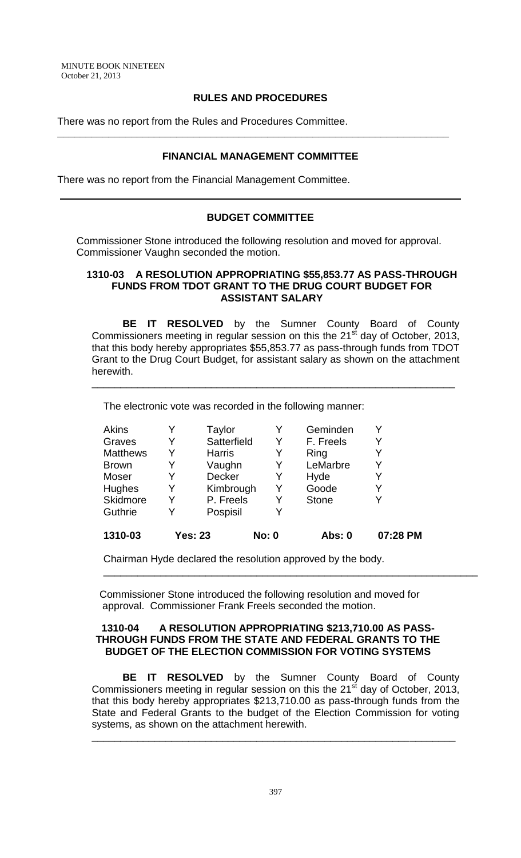## **RULES AND PROCEDURES**

There was no report from the Rules and Procedures Committee.

#### **FINANCIAL MANAGEMENT COMMITTEE**

**\_\_\_\_\_\_\_\_\_\_\_\_\_\_\_\_\_\_\_\_\_\_\_\_\_\_\_\_\_\_\_\_\_\_\_\_\_\_\_\_\_\_\_\_\_\_\_\_\_\_\_\_\_\_\_\_\_\_\_\_\_\_\_\_\_\_\_\_\_**

There was no report from the Financial Management Committee.

# **BUDGET COMMITTEE**

Commissioner Stone introduced the following resolution and moved for approval. Commissioner Vaughn seconded the motion.

#### **1310-03 A RESOLUTION APPROPRIATING \$55,853.77 AS PASS-THROUGH FUNDS FROM TDOT GRANT TO THE DRUG COURT BUDGET FOR ASSISTANT SALARY**

**BE IT RESOLVED** by the Sumner County Board of County Commissioners meeting in regular session on this the 21<sup>st</sup> day of October, 2013, that this body hereby appropriates \$55,853.77 as pass-through funds from TDOT Grant to the Drug Court Budget, for assistant salary as shown on the attachment herewith.

\_\_\_\_\_\_\_\_\_\_\_\_\_\_\_\_\_\_\_\_\_\_\_\_\_\_\_\_\_\_\_\_\_\_\_\_\_\_\_\_\_\_\_\_\_\_\_\_\_\_\_\_\_\_\_\_\_\_\_\_\_\_\_\_

The electronic vote was recorded in the following manner:

| <b>Akins</b>    |   | Taylor         |              | Geminden     |          |
|-----------------|---|----------------|--------------|--------------|----------|
| Graves          | Y | Satterfield    | Y            | F. Freels    | Y        |
| <b>Matthews</b> | Y | <b>Harris</b>  | Y            | Ring         |          |
| <b>Brown</b>    | Y | Vaughn         | Y            | LeMarbre     | Y        |
| Moser           | Y | <b>Decker</b>  | Y            | Hyde         | Y        |
| Hughes          | Y | Kimbrough      | Y            | Goode        | Y        |
| Skidmore        | Y | P. Freels      | Y            | <b>Stone</b> |          |
| Guthrie         | Y | Pospisil       |              |              |          |
| 1310-03         |   | <b>Yes: 23</b> | <b>No: 0</b> | Abs: 0       | 07:28 PM |

Chairman Hyde declared the resolution approved by the body.

Commissioner Stone introduced the following resolution and moved for approval. Commissioner Frank Freels seconded the motion.

\_\_\_\_\_\_\_\_\_\_\_\_\_\_\_\_\_\_\_\_\_\_\_\_\_\_\_\_\_\_\_\_\_\_\_\_\_\_\_\_\_\_\_\_\_\_\_\_\_\_\_\_\_\_\_\_\_\_\_\_\_\_\_\_\_\_

### **1310-04 A RESOLUTION APPROPRIATING \$213,710.00 AS PASS-THROUGH FUNDS FROM THE STATE AND FEDERAL GRANTS TO THE BUDGET OF THE ELECTION COMMISSION FOR VOTING SYSTEMS**

**BE IT RESOLVED** by the Sumner County Board of County Commissioners meeting in regular session on this the  $21<sup>st</sup>$  day of October, 2013, that this body hereby appropriates \$213,710.00 as pass-through funds from the State and Federal Grants to the budget of the Election Commission for voting systems, as shown on the attachment herewith.

\_\_\_\_\_\_\_\_\_\_\_\_\_\_\_\_\_\_\_\_\_\_\_\_\_\_\_\_\_\_\_\_\_\_\_\_\_\_\_\_\_\_\_\_\_\_\_\_\_\_\_\_\_\_\_\_\_\_\_\_\_\_\_\_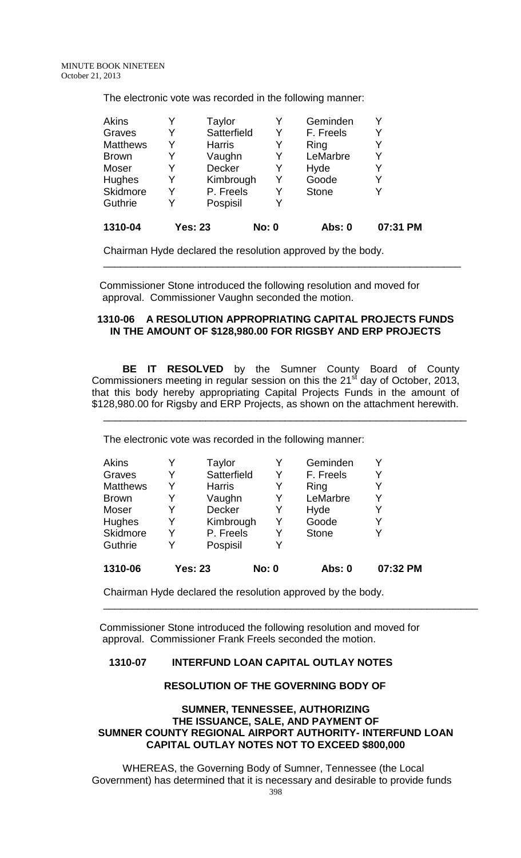The electronic vote was recorded in the following manner:

| Akins           |   | Taylor         |              | Geminden     |          |
|-----------------|---|----------------|--------------|--------------|----------|
| Graves          |   | Satterfield    | Y            | F. Freels    | Y        |
| <b>Matthews</b> |   | <b>Harris</b>  | Y            | Ring         | Y        |
| <b>Brown</b>    |   | Vaughn         | Y            | LeMarbre     | Y        |
| Moser           |   | <b>Decker</b>  | Y            | Hyde         | Y        |
| <b>Hughes</b>   | Y | Kimbrough      | Y            | Goode        | Y        |
| <b>Skidmore</b> | Y | P. Freels      | Y            | <b>Stone</b> | Y        |
| Guthrie         |   | Pospisil       |              |              |          |
| 1310-04         |   | <b>Yes: 23</b> | <b>No: 0</b> | Abs: 0       | 07:31 PM |

Chairman Hyde declared the resolution approved by the body.

Commissioner Stone introduced the following resolution and moved for approval. Commissioner Vaughn seconded the motion.

## **1310-06 A RESOLUTION APPROPRIATING CAPITAL PROJECTS FUNDS IN THE AMOUNT OF \$128,980.00 FOR RIGSBY AND ERP PROJECTS**

\_\_\_\_\_\_\_\_\_\_\_\_\_\_\_\_\_\_\_\_\_\_\_\_\_\_\_\_\_\_\_\_\_\_\_\_\_\_\_\_\_\_\_\_\_\_\_\_\_\_\_\_\_\_\_\_\_\_\_\_\_\_\_

**BE IT RESOLVED** by the Sumner County Board of County Commissioners meeting in regular session on this the  $21<sup>st</sup>$  day of October, 2013, that this body hereby appropriating Capital Projects Funds in the amount of \$128,980.00 for Rigsby and ERP Projects, as shown on the attachment herewith.

\_\_\_\_\_\_\_\_\_\_\_\_\_\_\_\_\_\_\_\_\_\_\_\_\_\_\_\_\_\_\_\_\_\_\_\_\_\_\_\_\_\_\_\_\_\_\_\_\_\_\_\_\_\_\_\_\_\_\_\_\_\_\_\_

The electronic vote was recorded in the following manner:

| Guthrie         | Y | Pospisil      |   |              |   |
|-----------------|---|---------------|---|--------------|---|
| Skidmore        | Y | P. Freels     | Y | <b>Stone</b> | Y |
| <b>Hughes</b>   | Y | Kimbrough     | Y | Goode        | Y |
| Moser           | Y | <b>Decker</b> | Y | Hyde         | Y |
| <b>Brown</b>    | Y | Vaughn        | Y | LeMarbre     | Y |
| <b>Matthews</b> | Y | <b>Harris</b> | Y | Ring         | Y |
| Graves          | Y | Satterfield   | Y | F. Freels    | Y |
| Akins           |   | Taylor        |   | Geminden     |   |

Chairman Hyde declared the resolution approved by the body.

Commissioner Stone introduced the following resolution and moved for approval. Commissioner Frank Freels seconded the motion.

# **1310-07 INTERFUND LOAN CAPITAL OUTLAY NOTES**

### **RESOLUTION OF THE GOVERNING BODY OF**

\_\_\_\_\_\_\_\_\_\_\_\_\_\_\_\_\_\_\_\_\_\_\_\_\_\_\_\_\_\_\_\_\_\_\_\_\_\_\_\_\_\_\_\_\_\_\_\_\_\_\_\_\_\_\_\_\_\_\_\_\_\_\_\_\_\_

## **SUMNER, TENNESSEE, AUTHORIZING THE ISSUANCE, SALE, AND PAYMENT OF SUMNER COUNTY REGIONAL AIRPORT AUTHORITY- INTERFUND LOAN CAPITAL OUTLAY NOTES NOT TO EXCEED \$800,000**

WHEREAS, the Governing Body of Sumner, Tennessee (the Local Government) has determined that it is necessary and desirable to provide funds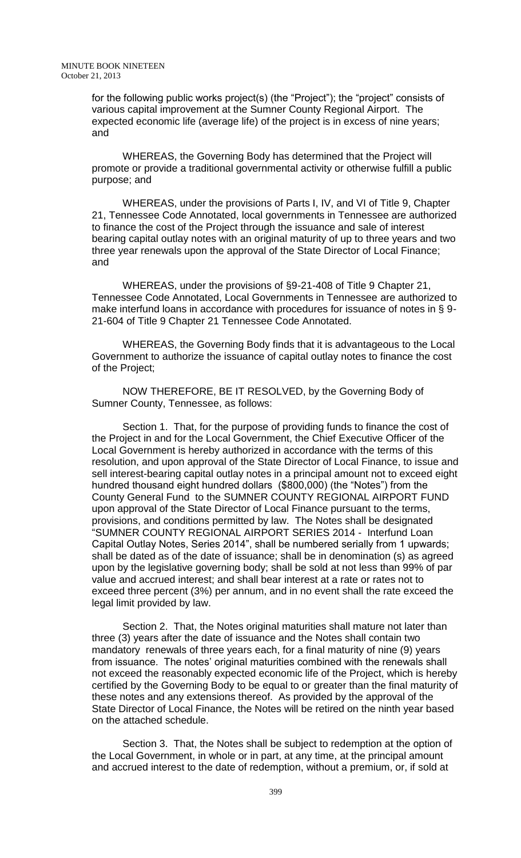for the following public works project(s) (the "Project"); the "project" consists of various capital improvement at the Sumner County Regional Airport. The expected economic life (average life) of the project is in excess of nine years; and

WHEREAS, the Governing Body has determined that the Project will promote or provide a traditional governmental activity or otherwise fulfill a public purpose; and

WHEREAS, under the provisions of Parts I, IV, and VI of Title 9, Chapter 21, Tennessee Code Annotated, local governments in Tennessee are authorized to finance the cost of the Project through the issuance and sale of interest bearing capital outlay notes with an original maturity of up to three years and two three year renewals upon the approval of the State Director of Local Finance; and

WHEREAS, under the provisions of §9-21-408 of Title 9 Chapter 21, Tennessee Code Annotated, Local Governments in Tennessee are authorized to make interfund loans in accordance with procedures for issuance of notes in § 9- 21-604 of Title 9 Chapter 21 Tennessee Code Annotated.

WHEREAS, the Governing Body finds that it is advantageous to the Local Government to authorize the issuance of capital outlay notes to finance the cost of the Project;

NOW THEREFORE, BE IT RESOLVED, by the Governing Body of Sumner County, Tennessee, as follows:

 Section 1. That, for the purpose of providing funds to finance the cost of the Project in and for the Local Government, the Chief Executive Officer of the Local Government is hereby authorized in accordance with the terms of this resolution, and upon approval of the State Director of Local Finance, to issue and sell interest-bearing capital outlay notes in a principal amount not to exceed eight hundred thousand eight hundred dollars (\$800,000) (the "Notes") from the County General Fund to the SUMNER COUNTY REGIONAL AIRPORT FUND upon approval of the State Director of Local Finance pursuant to the terms, provisions, and conditions permitted by law. The Notes shall be designated "SUMNER COUNTY REGIONAL AIRPORT SERIES 2014 - Interfund Loan Capital Outlay Notes, Series 2014", shall be numbered serially from 1 upwards; shall be dated as of the date of issuance; shall be in denomination (s) as agreed upon by the legislative governing body; shall be sold at not less than 99% of par value and accrued interest; and shall bear interest at a rate or rates not to exceed three percent (3%) per annum, and in no event shall the rate exceed the legal limit provided by law.

Section 2. That, the Notes original maturities shall mature not later than three (3) years after the date of issuance and the Notes shall contain two mandatory renewals of three years each, for a final maturity of nine (9) years from issuance. The notes' original maturities combined with the renewals shall not exceed the reasonably expected economic life of the Project, which is hereby certified by the Governing Body to be equal to or greater than the final maturity of these notes and any extensions thereof. As provided by the approval of the State Director of Local Finance, the Notes will be retired on the ninth year based on the attached schedule.

Section 3. That, the Notes shall be subject to redemption at the option of the Local Government, in whole or in part, at any time, at the principal amount and accrued interest to the date of redemption, without a premium, or, if sold at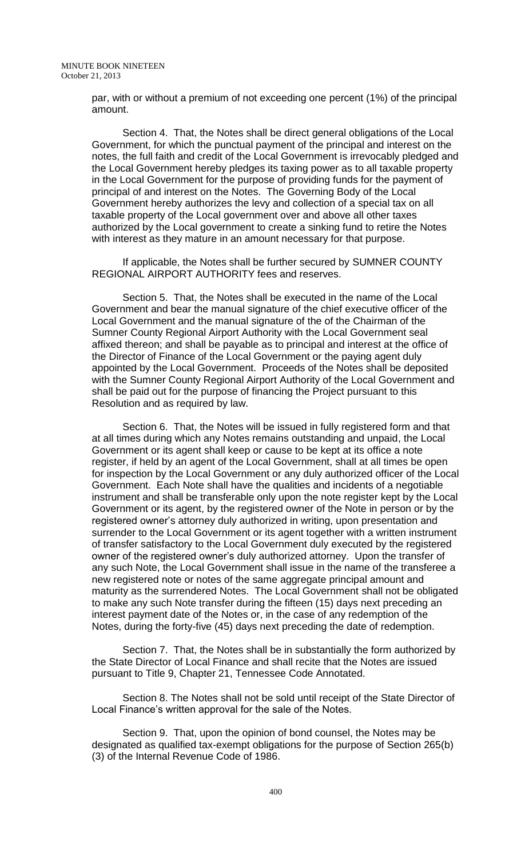par, with or without a premium of not exceeding one percent (1%) of the principal amount.

Section 4. That, the Notes shall be direct general obligations of the Local Government, for which the punctual payment of the principal and interest on the notes, the full faith and credit of the Local Government is irrevocably pledged and the Local Government hereby pledges its taxing power as to all taxable property in the Local Government for the purpose of providing funds for the payment of principal of and interest on the Notes. The Governing Body of the Local Government hereby authorizes the levy and collection of a special tax on all taxable property of the Local government over and above all other taxes authorized by the Local government to create a sinking fund to retire the Notes with interest as they mature in an amount necessary for that purpose.

If applicable, the Notes shall be further secured by SUMNER COUNTY REGIONAL AIRPORT AUTHORITY fees and reserves.

Section 5. That, the Notes shall be executed in the name of the Local Government and bear the manual signature of the chief executive officer of the Local Government and the manual signature of the of the Chairman of the Sumner County Regional Airport Authority with the Local Government seal affixed thereon; and shall be payable as to principal and interest at the office of the Director of Finance of the Local Government or the paying agent duly appointed by the Local Government. Proceeds of the Notes shall be deposited with the Sumner County Regional Airport Authority of the Local Government and shall be paid out for the purpose of financing the Project pursuant to this Resolution and as required by law.

Section 6. That, the Notes will be issued in fully registered form and that at all times during which any Notes remains outstanding and unpaid, the Local Government or its agent shall keep or cause to be kept at its office a note register, if held by an agent of the Local Government, shall at all times be open for inspection by the Local Government or any duly authorized officer of the Local Government. Each Note shall have the qualities and incidents of a negotiable instrument and shall be transferable only upon the note register kept by the Local Government or its agent, by the registered owner of the Note in person or by the registered owner's attorney duly authorized in writing, upon presentation and surrender to the Local Government or its agent together with a written instrument of transfer satisfactory to the Local Government duly executed by the registered owner of the registered owner's duly authorized attorney. Upon the transfer of any such Note, the Local Government shall issue in the name of the transferee a new registered note or notes of the same aggregate principal amount and maturity as the surrendered Notes. The Local Government shall not be obligated to make any such Note transfer during the fifteen (15) days next preceding an interest payment date of the Notes or, in the case of any redemption of the Notes, during the forty-five (45) days next preceding the date of redemption.

Section 7. That, the Notes shall be in substantially the form authorized by the State Director of Local Finance and shall recite that the Notes are issued pursuant to Title 9, Chapter 21, Tennessee Code Annotated.

Section 8. The Notes shall not be sold until receipt of the State Director of Local Finance's written approval for the sale of the Notes.

Section 9. That, upon the opinion of bond counsel, the Notes may be designated as qualified tax-exempt obligations for the purpose of Section 265(b) (3) of the Internal Revenue Code of 1986.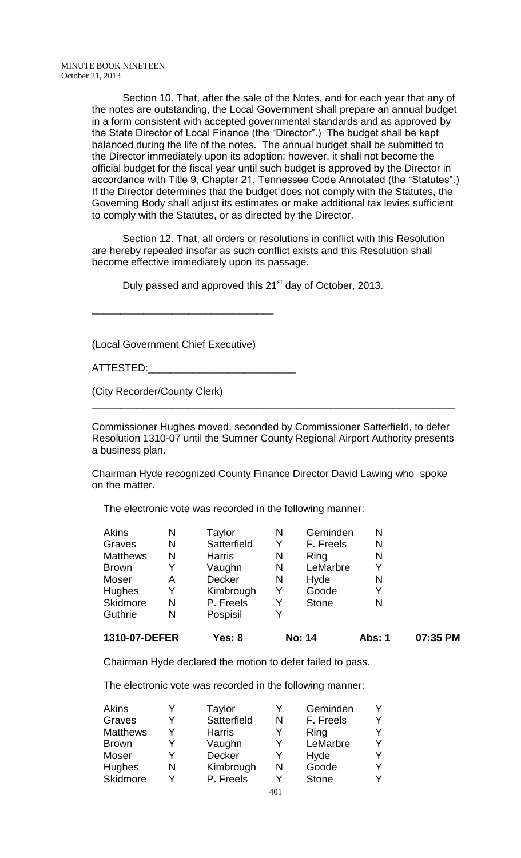Section 10. That, after the sale of the Notes, and for each year that any of the notes are outstanding, the Local Government shall prepare an annual budget in a form consistent with accepted governmental standards and as approved by the State Director of Local Finance (the "Director".) The budget shall be kept balanced during the life of the notes. The annual budget shall be submitted to the Director immediately upon its adoption; however, it shall not become the official budget for the fiscal year until such budget is approved by the Director in accordance with Title 9, Chapter 21, Tennessee Code Annotated (the "Statutes".) If the Director determines that the budget does not comply with the Statutes, the Governing Body shall adjust its estimates or make additional tax levies sufficient to comply with the Statutes, or as directed by the Director.

Section 12. That, all orders or resolutions in conflict with this Resolution are hereby repealed insofar as such conflict exists and this Resolution shall become effective immediately upon its passage.

Duly passed and approved this 21<sup>st</sup> day of October, 2013.

(Local Government Chief Executive)

\_\_\_\_\_\_\_\_\_\_\_\_\_\_\_\_\_\_\_\_\_\_\_\_\_\_\_\_\_\_\_\_

ATTESTED:\_\_\_\_\_\_\_\_\_\_\_\_\_\_\_\_\_\_\_\_\_\_\_\_\_\_

(City Recorder/County Clerk)

Commissioner Hughes moved, seconded by Commissioner Satterfield, to defer Resolution 1310-07 until the Sumner County Regional Airport Authority presents a business plan.

\_\_\_\_\_\_\_\_\_\_\_\_\_\_\_\_\_\_\_\_\_\_\_\_\_\_\_\_\_\_\_\_\_\_\_\_\_\_\_\_\_\_\_\_\_\_\_\_\_\_\_\_\_\_\_\_\_\_\_\_\_\_\_\_

Chairman Hyde recognized County Finance Director David Lawing who spoke on the matter.

The electronic vote was recorded in the following manner:

| 1310-07-DEFER   |   | Yes: 8        |   | <b>No: 14</b> | Abs: 1 | 07:35 PM |
|-----------------|---|---------------|---|---------------|--------|----------|
| Guthrie         | N | Pospisil      |   |               |        |          |
| Skidmore        | N | P. Freels     |   | <b>Stone</b>  | N      |          |
| Hughes          | Y | Kimbrough     | Y | Goode         | Y      |          |
| Moser           | Α | <b>Decker</b> | N | Hyde          | N      |          |
| <b>Brown</b>    | Y | Vaughn        | N | LeMarbre      | Y      |          |
| <b>Matthews</b> | N | <b>Harris</b> | N | Ring          | N      |          |
| Graves          | N | Satterfield   |   | F. Freels     | N      |          |
| <b>Akins</b>    | Ν | Taylor        | N | Geminden      | N      |          |

Chairman Hyde declared the motion to defer failed to pass.

The electronic vote was recorded in the following manner:

| Akins           | Y | Taylor        |     | Geminden     | Y |
|-----------------|---|---------------|-----|--------------|---|
| Graves          | Y | Satterfield   | N   | F. Freels    | Y |
| <b>Matthews</b> | V | <b>Harris</b> | Y   | Ring         | Y |
| <b>Brown</b>    | Y | Vaughn        | Y   | LeMarbre     | Y |
| Moser           | v | Decker        | Y   | Hyde         | Y |
| <b>Hughes</b>   | N | Kimbrough     | N   | Goode        | Y |
| Skidmore        | v | P. Freels     | V   | <b>Stone</b> | Y |
|                 |   |               | 404 |              |   |